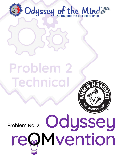

# Problem 2 Technical



Problem No. 2:

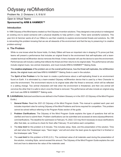# Odyssey reOMvention

Problem No. 2: Divisions I, II, III & IV

# *Open to Virtual Teams*  **Sponsored by ARM & HAMMER™**

# **Introduction**

In 1996 Odyssey of the Mind teams created our first Odyssey Invention solutions. They designed a new product or redesigned an existing one to assist someone with a physical disability to help perform a task. There were wonderful solutions. This year Arm & Hammer wants all of our OMers to use their creativity to explore environmental threats and solutions. So, OM is reinventing this problem knowing that we are all stewards of the environment and that the key to preserving it is creative problem-solving!

## **A. The Problem**

While no one knows what the future holds, it's likely OMers will have an important role in shaping it! To prove just that, teams will present a performance that includes an original threat to the environment that self-replicates until a teamcreated technical reOMvention device removes the threat. A hero character will use the device to save the environment. Performances will include a setting that reflects the threat and then returns to its original state. The performance will also include original music, two animal characters, and must include ARM & HAMMER™ Baking Soda.

The **creative emphases** of the problem are on the overall performance, how the threat self-replicates, the reOMvention device, the original music and how ARM & HAMMER™ Baking Soda is used in the solution.

The **Spirit of the Problem** is for the team to create a performance about a self-replicating threat to an environment found on Earth. It is eliminated by a team-created Odyssey reOMvention device that is used by a Hero Character to save the environment. The environment returns to its original state after the threat is removed, which will be reflected in a setting change. Two animal characters will hide when the environment is threatened, and then one animal will convince the other that it is safe to return once the threat is removed. The performance will also include an original song and must use ARM & HAMMER™ Baking soda.

- **B. Limitations** *(*Italicized word/terms are defined in the Problem Glossary or in the *2021-22 Odyssey of the Mind Program Guide.)*
	- 1. **General Rules:** Read the *2021-22 Odyssey of the Mind Program Guide*. This manual is updated each year and includes important rules for solving Odyssey of the Mind Problems and forms required for competition. This problem cannot be solved without referring to the Program Rules section of the guide.
	- 2. **Problem Clarifications:** The Odyssey of the Mind Program Guide explains the types of questions that will be clarified and how to submit them. Problem clarifications can be submitted and accessed at www.odysseyofthemind. com/clarifications. The deadline for submission is February 15, 2022. CCI may find it necessary to issue clarifications after that date, so continue to check for them after February 15 and before each competition.
	- 3. The **time limit** for this problem is 8 minutes. This includes setup, Style, and the presentation of the solution. Time will start when the Timekeeper says, "Team begin," and will end when the team gives its signal that it is finished or the timekeeper calls "Time."
	- 4. The **cost limit** for this problem is \$145 (U.S.). The combined value of all materials used during the presentation of the solution, including Style, cannot exceed this amount. The Odyssey of the Mind Program Guide explains the cost limit and how to determine the value of the materials used.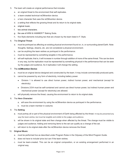- 5. The team will create an original performance that includes:
	- a. an original threat to the environment that self-replicates.
	- b. a team-created technical reOMvention device.
	- c. a hero character that uses the reOMvention device.
	- d. a setting that reflects the growing threat and its return to its original state.
	- e. original music.
	- f. two animal characters.
	- g. the use of ARM & HAMMER™ Baking Soda.
	- h. five Style elements including two that are chosen by the team listed in F. Style.

#### 6. The **Original Threat**:

- a. must be portrayed as affecting an existing physical environment found on, in, or surrounding planet Earth. Note: thoughts, feelings, dreams, etc. are not considered a physical environment.
- b. can be anything the team wishes *as portrayed in the performance*.
- c. must be represented by something tangible in the performance.
- d. will self-replicate; that is, it will increase in number through addition of more of the same threat. This can be done in any way, but the replication must be represented by something physical in the performance that can be seen by the judges and audience. As it replicates it will change the setting.

#### 7. The **reOMvention Device**:

- a. must be an original device designed and constructed by the team. It may include commercially-produced parts.
- b. cannot be powered by any form of electricity, including battery power.
	- Division 1 is allowed to use *direct human power, indirect human power*, and mechanical (except for electricity).
	- Divisions 2/3/4 must be self-contained and cannot use direct human power, but indirect human power and mechanical power (except for electricity) are allowed.
- c. will physically remove the threat, causing the environment to return to its original state.

#### 8. The **Hero Character:**

- a. will save the environment by using the reOMvention device as portrayed in the performance.
- b. must be a team member in costume.

#### 9. The **Setting**:

- a. must portray all or part of the physical environment of Earth being affected by the threat. It may be presented any way the team wishes, but must be tangible and visible to the judges and audience.
- b. will be shown in its original state and then change when affected by the threat. The change must be visible to judges and audience. Adding and removing items to the set can qualify as a change of the set.
- c. will return to its original state after the reOMvention device removes the threat.

#### 10. **Original Music**:

- a. must be performed live as described under Program Rules in the Odyssey of the Mind Program Guide.
- b. does not have to include lyrics but can if the team wishes.
- c. must be team-created. This can be an original composition, or an existing arrangement performed in an original way.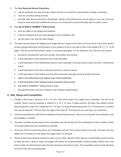#### 11. The **Two Required Animal Characters:**

- a. may be portrayed any way the team wishes but they must meet the requirements of being a *character*.
- b. must be currently existing animals.
- c. will hide while the environment is threatened. Hiding in the performance can be shown in any way. Once the threat is removed by the reOMvention device, one animal will convince the other that it is safe to return.

#### 12. The **use of ARM & HAMMER™ Baking Soda**:

- a. must be visible to the judges and audience.
- b. must be contained and not cause damage to the competition site.
- c. can be used in any way the team wishes.
- 13. The team should present the Staging Area Judge with four copies of the Team List Form found in the forms section at www.odysseyofthemind.com/members or four copies of a list on one side of one or two sheets of 8 1/2" x 11" or A4 paper. This list can be hand-printed, typed, or computer generated. It is for reference only. This list must include:
	- a. the team's membership name and number, the problem and division.
	- b. a brief description of the threat and how it self-replicates.
	- c. a brief description of the reOMvention device, how it operates, the power source used, and how it removes the threat.
	- d. a brief description of the Hero Character and how it uses the device.
	- e. a brief description of the setting and how the environment changes during and after the threat.
	- f. when in the performance the original music will be performed.
	- g. a brief description of the required animal characters being scored.
	- h. how ARM & HAMMER™ Baking Soda is used.
	- i. the signal the team will use to indicate it has finished its performance.

#### **C. Site, Setup and Competition**

- 1. A stage or floor area a minimum of 10' x 10' (3m x 3m) will be used, but a larger area is desirable. This will not be marked. Teams must be prepared to perform in a 10' x 10' area. If space permits, the team may perform and/or place equipment, props, etc. outside the 10' x 10' area. If a drop-off exists beyond the 10' x 10' dimensions, a caution line may be taped 30" (76.2cm) from the edge of the drop-off. This will serve as a warning, not a boundary.
- 2. A three-prong electrical outlet will be available at the performance area. Teams must bring their own extension cords and adapters, if needed.
- 3. The team members should report to the competition site with all items for the presentation of their solution at least 15 minutes before they are scheduled to compete.
- 4. At the end of the 8-minute time period, the Timekeeper will call "Time" and all activity must stop. The team may end before the 8 minutes but must signal the judges when it is finished.
- 5. Teams should bring cleaning utensils to clean up any mess. Should a team take an unreasonable amount of time to clean the site, or leave a mess, the judges will assess an Unsportsmanlike Conduct penalty. Others not on the team's roster can help the team clear the site and remove the team's props. The competition area must be left clean and dry for the next competing team.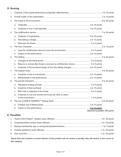# **D. Scoring**

| 1. |    |                                                                                |                              |
|----|----|--------------------------------------------------------------------------------|------------------------------|
| 2. |    |                                                                                |                              |
| 3. |    |                                                                                |                              |
|    | a. |                                                                                |                              |
|    | b. |                                                                                |                              |
| 4. |    |                                                                                |                              |
|    | a. |                                                                                |                              |
|    | b. |                                                                                |                              |
|    | C. |                                                                                |                              |
| 5. |    |                                                                                |                              |
|    | a. |                                                                                |                              |
|    | b. |                                                                                |                              |
| 6. |    |                                                                                |                              |
|    | a. |                                                                                |                              |
|    | b. | Returns to normal after threat is removed by reOMvention device  0 or 5 points |                              |
|    | C. |                                                                                |                              |
| 7. |    |                                                                                |                              |
|    | a. |                                                                                |                              |
|    | b. |                                                                                |                              |
| 8. |    |                                                                                |                              |
|    | a. |                                                                                |                              |
|    | b. |                                                                                |                              |
|    | C. |                                                                                |                              |
|    | d. | Creativity of how one animal convinces the other to return                     |                              |
|    |    |                                                                                |                              |
| 9. |    |                                                                                |                              |
|    | a. |                                                                                |                              |
|    | b. |                                                                                |                              |
|    |    |                                                                                | Maximum possible: 200 points |

# **E. Penalties**

*Teams that don't present a scored element of the problem will not receive a penalty, they will receive a zero score for that category.*